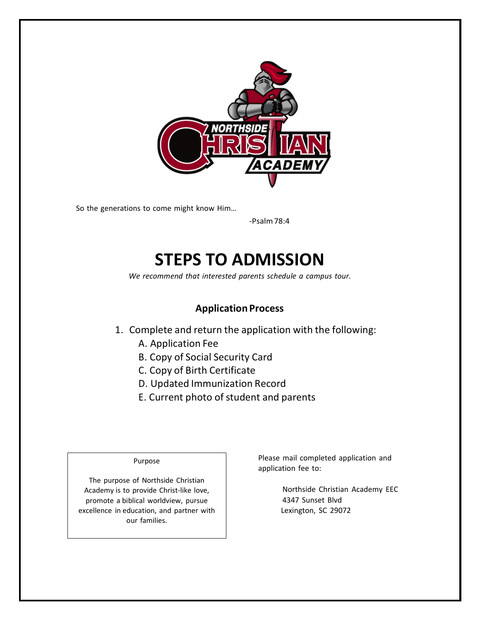

So the generations to come might know Him…

-Psalm78:4

# **STEPS TO ADMISSION**

*We recommend that interested parents schedule a campus tour.*

### **Application Process**

- 1. Complete and return the application with the following:
	- A. Application Fee
	- B. Copy of Social Security Card
	- C. Copy of Birth Certificate
	- D. Updated Immunization Record
	- E. Current photo of student and parents

#### Purpose

The purpose of Northside Christian Academy is to provide Christ-like love, promote a biblical worldview, pursue excellence in education, and partner with our families.

Please mail completed application and application fee to:

> Northside Christian Academy EEC 4347 Sunset Blvd Lexington, SC 29072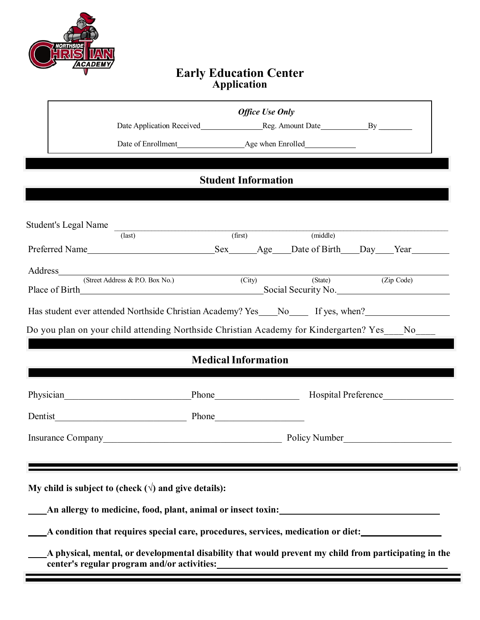

|                                                                                                                                                                                                                                       |                                                                                                                                                                                                                                                                   | <b>Office Use Only</b>     |          |                     |  |  |
|---------------------------------------------------------------------------------------------------------------------------------------------------------------------------------------------------------------------------------------|-------------------------------------------------------------------------------------------------------------------------------------------------------------------------------------------------------------------------------------------------------------------|----------------------------|----------|---------------------|--|--|
|                                                                                                                                                                                                                                       |                                                                                                                                                                                                                                                                   |                            |          |                     |  |  |
|                                                                                                                                                                                                                                       |                                                                                                                                                                                                                                                                   |                            |          |                     |  |  |
|                                                                                                                                                                                                                                       |                                                                                                                                                                                                                                                                   |                            |          |                     |  |  |
|                                                                                                                                                                                                                                       |                                                                                                                                                                                                                                                                   | <b>Student Information</b> |          |                     |  |  |
|                                                                                                                                                                                                                                       |                                                                                                                                                                                                                                                                   |                            |          |                     |  |  |
|                                                                                                                                                                                                                                       |                                                                                                                                                                                                                                                                   |                            |          |                     |  |  |
|                                                                                                                                                                                                                                       | Student's Legal Name (last) (first)                                                                                                                                                                                                                               |                            | (middle) |                     |  |  |
|                                                                                                                                                                                                                                       |                                                                                                                                                                                                                                                                   |                            |          |                     |  |  |
|                                                                                                                                                                                                                                       | Address and the contract of the contract of the contract of the contract of the contract of the contract of the contract of the contract of the contract of the contract of the contract of the contract of the contract of th<br>(Street Address & P.O. Box No.) | (City)                     | (State)  | (Zip Code)          |  |  |
|                                                                                                                                                                                                                                       |                                                                                                                                                                                                                                                                   |                            |          | Social Security No. |  |  |
|                                                                                                                                                                                                                                       | Has student ever attended Northside Christian Academy? Yes___No_____ If yes, when?_________________                                                                                                                                                               |                            |          |                     |  |  |
|                                                                                                                                                                                                                                       | Do you plan on your child attending Northside Christian Academy for Kindergarten? Yes___No___                                                                                                                                                                     |                            |          |                     |  |  |
|                                                                                                                                                                                                                                       |                                                                                                                                                                                                                                                                   |                            |          |                     |  |  |
|                                                                                                                                                                                                                                       |                                                                                                                                                                                                                                                                   | <b>Medical Information</b> |          |                     |  |  |
|                                                                                                                                                                                                                                       |                                                                                                                                                                                                                                                                   |                            |          |                     |  |  |
|                                                                                                                                                                                                                                       | Physician Phone Hospital Preference                                                                                                                                                                                                                               |                            |          |                     |  |  |
|                                                                                                                                                                                                                                       |                                                                                                                                                                                                                                                                   |                            |          |                     |  |  |
|                                                                                                                                                                                                                                       | Insurance Company <b>Exercise 2.1 Policy Number</b> Policy Number                                                                                                                                                                                                 |                            |          |                     |  |  |
|                                                                                                                                                                                                                                       |                                                                                                                                                                                                                                                                   |                            |          |                     |  |  |
|                                                                                                                                                                                                                                       |                                                                                                                                                                                                                                                                   |                            |          |                     |  |  |
|                                                                                                                                                                                                                                       | My child is subject to (check $(\forall)$ and give details):                                                                                                                                                                                                      |                            |          |                     |  |  |
|                                                                                                                                                                                                                                       | An allergy to medicine, food, plant, animal or insect toxin:                                                                                                                                                                                                      |                            |          |                     |  |  |
|                                                                                                                                                                                                                                       |                                                                                                                                                                                                                                                                   |                            |          |                     |  |  |
|                                                                                                                                                                                                                                       | A condition that requires special care, procedures, services, medication or diet:                                                                                                                                                                                 |                            |          |                     |  |  |
| center's regular program and/or activities:<br><u>example</u> and the set of the set of the set of the set of the set of the set of the set of the set of the set of the set of the set of the set of the set of the set of the set o | A physical, mental, or developmental disability that would prevent my child from participating in the                                                                                                                                                             |                            |          |                     |  |  |
|                                                                                                                                                                                                                                       |                                                                                                                                                                                                                                                                   |                            |          |                     |  |  |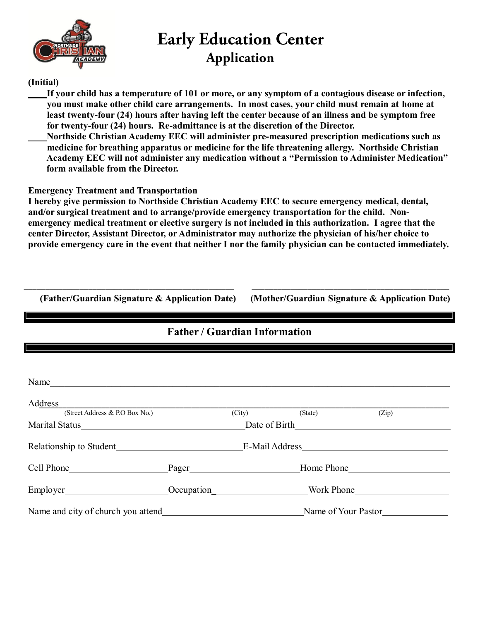

### **(Initial)**

**If your child has a temperature of 101 or more, or any symptom of a contagious disease or infection, you must make other child care arrangements. In most cases, your child must remain at home at least twenty-four (24) hours after having left the center because of an illness and be symptom free for twenty-four (24) hours. Re-admittance is at the discretion of the Director.**

**Northside Christian Academy EEC will administer pre-measured prescription medications such as medicine for breathing apparatus or medicine for the life threatening allergy. Northside Christian Academy EEC will not administer any medication without a "Permission to Administer Medication" form available from the Director.**

**Emergency Treatment and Transportation**

**I hereby give permission to Northside Christian Academy EEC to secure emergency medical, dental, and/or surgical treatment and to arrange/provide emergency transportation for the child. Nonemergency medical treatment or elective surgery is not included in this authorization. I agree that the center Director, Assistant Director, or Administrator may authorize the physician of his/her choice to provide emergency care in the event that neither I nor the family physician can be contacted immediately.**

**(Father/Guardian Signature & Application Date) (Mother/Guardian Signature & Application Date)**

\_\_\_\_\_\_\_\_\_\_\_\_\_\_\_\_\_\_\_\_\_\_\_\_\_\_\_\_\_\_\_\_\_\_\_\_\_\_\_\_\_\_\_\_\_\_\_\_\_ \_\_\_\_\_\_\_\_\_\_\_\_\_\_\_\_\_\_\_\_\_\_\_\_\_\_\_\_\_\_\_\_\_\_\_\_\_\_\_\_\_\_\_\_\_\_

|                                               | <b>Father / Guardian Information</b>   |        |                     |       |  |
|-----------------------------------------------|----------------------------------------|--------|---------------------|-------|--|
|                                               |                                        |        |                     |       |  |
|                                               |                                        |        |                     |       |  |
| Name                                          |                                        |        |                     |       |  |
| Address                                       |                                        |        |                     |       |  |
| (Street Address & P.O Box No.)                |                                        | (City) | (State)             | (Zip) |  |
|                                               |                                        |        |                     |       |  |
|                                               | Relationship to Student E-Mail Address |        |                     |       |  |
| Cell Phone Phone Pager Pager From Phone Phone |                                        |        |                     |       |  |
|                                               |                                        |        |                     |       |  |
|                                               |                                        |        | Name of Your Pastor |       |  |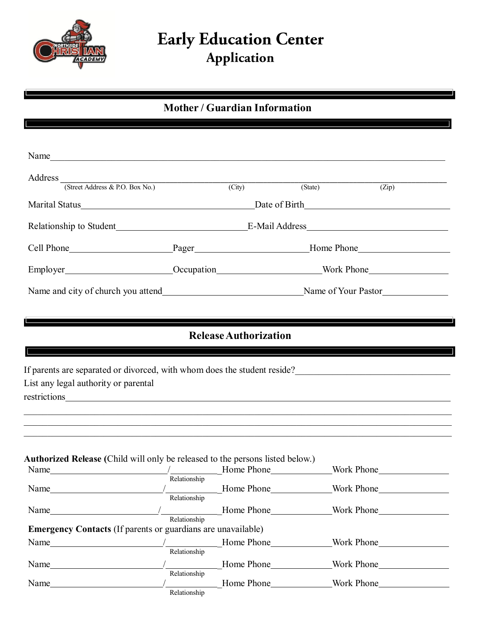

## **Mother / Guardian Information**

| Name                                                                                 |              |                                                          |                             |                                                       |
|--------------------------------------------------------------------------------------|--------------|----------------------------------------------------------|-----------------------------|-------------------------------------------------------|
|                                                                                      |              |                                                          |                             |                                                       |
| Address (Street Address & P.O. Box No.) (City)                                       |              |                                                          | (State)                     | $\overline{(Zip)}$                                    |
|                                                                                      |              | Marital Status <u>Date</u> of Birth <u>Date of Birth</u> |                             |                                                       |
|                                                                                      |              |                                                          |                             |                                                       |
|                                                                                      |              |                                                          |                             |                                                       |
|                                                                                      |              |                                                          |                             |                                                       |
|                                                                                      |              |                                                          |                             |                                                       |
|                                                                                      |              | <b>Release Authorization</b>                             |                             |                                                       |
| List any legal authority or parental<br>restrictions                                 |              |                                                          |                             |                                                       |
| <b>Authorized Release</b> (Child will only be released to the persons listed below.) |              |                                                          |                             |                                                       |
|                                                                                      |              |                                                          |                             |                                                       |
| Name_                                                                                | Relationship | Home Phone                                               |                             | Work Phone                                            |
| Name                                                                                 | Relationship |                                                          | Mork Phone Monte Nork Phone |                                                       |
| <b>Emergency Contacts</b> (If parents or guardians are unavailable)                  | Relationship |                                                          |                             |                                                       |
| Name                                                                                 |              |                                                          |                             |                                                       |
|                                                                                      |              |                                                          |                             |                                                       |
|                                                                                      | Relationship | $\frac{1}{2}$ Home Phone                                 |                             | Work Phone<br><u> 1990 - Johann Barbara, martin a</u> |
| Name                                                                                 |              |                                                          | Mork Phone None Nork Phone  |                                                       |
| $Name_$                                                                              | Relationship |                                                          |                             |                                                       |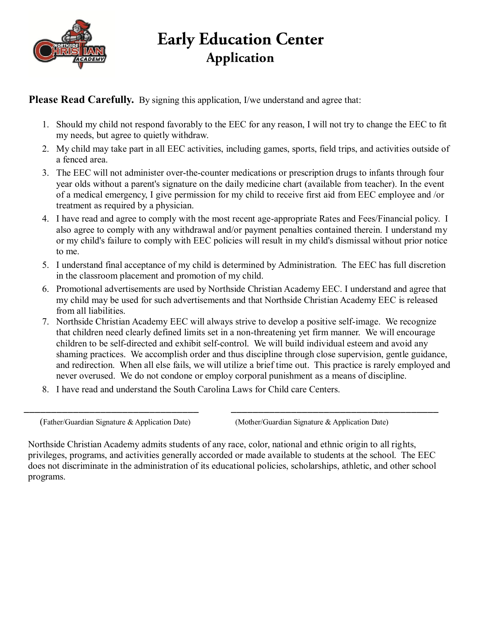

### **Please Read Carefully.** By signing this application, I/we understand and agree that:

- 1. Should my child not respond favorably to the EEC for any reason, I will not try to change the EEC to fit my needs, but agree to quietly withdraw.
- 2. My child may take part in all EEC activities, including games, sports, field trips, and activities outside of a fenced area.
- 3. The EEC will not administer over-the-counter medications or prescription drugs to infants through four year olds without a parent's signature on the daily medicine chart (available from teacher). In the event of a medical emergency, I give permission for my child to receive first aid from EEC employee and /or treatment as required by a physician.
- 4. I have read and agree to comply with the most recent age-appropriate Rates and Fees/Financial policy. I also agree to comply with any withdrawal and/or payment penalties contained therein. I understand my or my child's failure to comply with EEC policies will result in my child's dismissal without prior notice to me.
- 5. I understand final acceptance of my child is determined by Administration. The EEC has full discretion in the classroom placement and promotion of my child.
- 6. Promotional advertisements are used by Northside Christian Academy EEC. I understand and agree that my child may be used for such advertisements and that Northside Christian Academy EEC is released from all liabilities.
- 7. Northside Christian Academy EEC will always strive to develop a positive self-image. We recognize that children need clearly defined limits set in a non-threatening yet firm manner. We will encourage children to be self-directed and exhibit self-control. We will build individual esteem and avoid any shaming practices. We accomplish order and thus discipline through close supervision, gentle guidance, and redirection. When all else fails, we will utilize a brief time out. This practice is rarely employed and never overused. We do not condone or employ corporal punishment as a means of discipline.
- 8. I have read and understand the South Carolina Laws for Child care Centers.

(Father/Guardian Signature & Application Date) (Mother/Guardian Signature & Application Date)

Northside Christian Academy admits students of any race, color, national and ethnic origin to all rights, privileges, programs, and activities generally accorded or made available to students at the school. The EEC does not discriminate in the administration of its educational policies, scholarships, athletic, and other school programs.

\_\_\_\_\_\_\_\_\_\_\_\_\_\_\_\_\_\_\_\_\_\_\_\_\_\_\_\_\_\_\_\_ \_\_\_\_\_\_\_\_\_\_\_\_\_\_\_\_\_\_\_\_\_\_\_\_\_\_\_\_\_\_\_\_\_\_\_\_\_\_